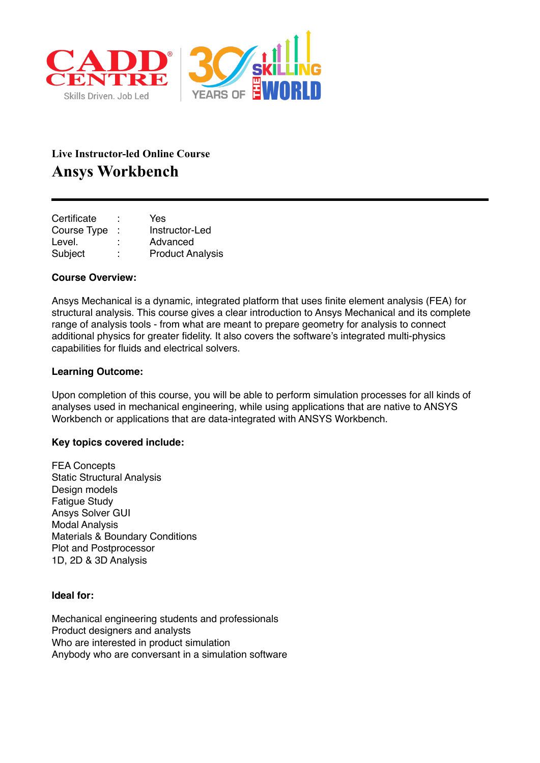

# **Live Instructor-led Online Course Ansys Workbench**

| Certificate |        | Yes                     |
|-------------|--------|-------------------------|
| Course Type |        | Instructor-Led          |
| Level.      |        | Advanced                |
| Subject     | ٠<br>٠ | <b>Product Analysis</b> |

## **Course Overview:**

Ansys Mechanical is a dynamic, integrated platform that uses finite element analysis (FEA) for structural analysis. This course gives a clear introduction to Ansys Mechanical and its complete range of analysis tools - from what are meant to prepare geometry for analysis to connect additional physics for greater fidelity. It also covers the software's integrated multi-physics capabilities for fluids and electrical solvers.

## **Learning Outcome:**

Upon completion of this course, you will be able to perform simulation processes for all kinds of analyses used in mechanical engineering, while using applications that are native to ANSYS Workbench or applications that are data-integrated with ANSYS Workbench.

#### **Key topics covered include:**

FEA Concepts Static Structural Analysis Design models Fatigue Study Ansys Solver GUI Modal Analysis Materials & Boundary Conditions Plot and Postprocessor 1D, 2D & 3D Analysis

#### **Ideal for:**

Mechanical engineering students and professionals Product designers and analysts Who are interested in product simulation Anybody who are conversant in a simulation software